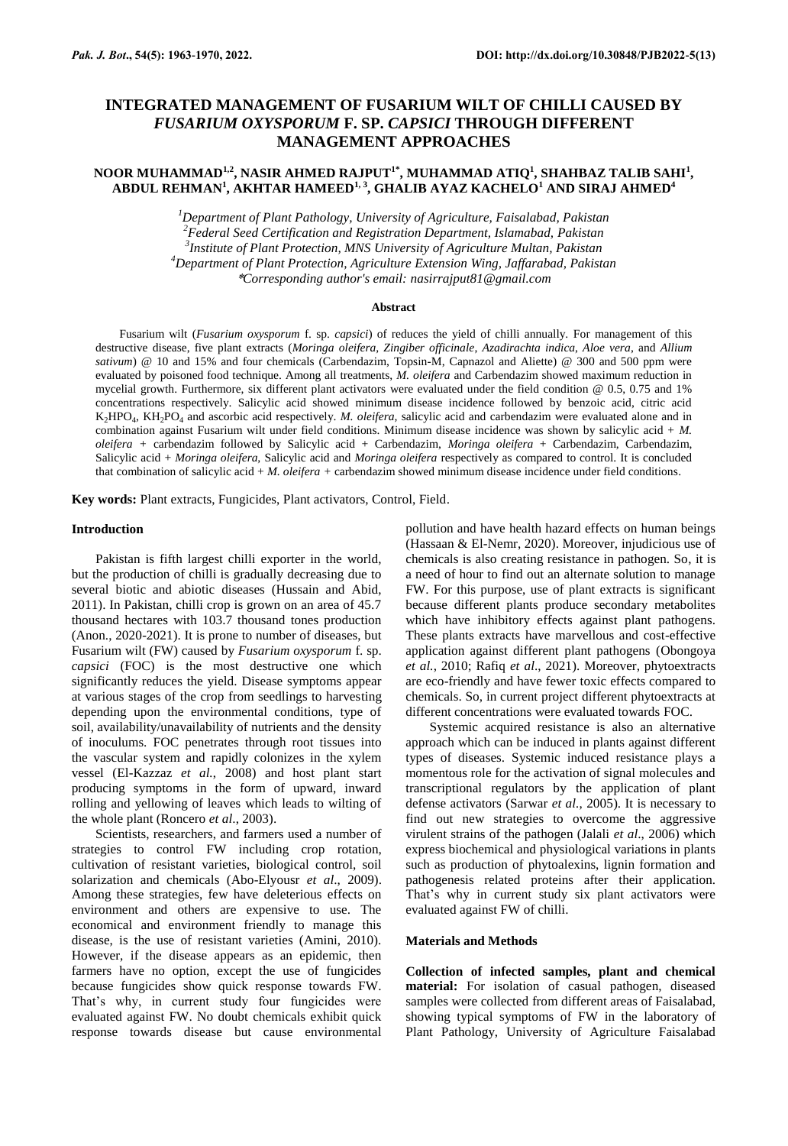# **INTEGRATED MANAGEMENT OF FUSARIUM WILT OF CHILLI CAUSED BY**  *FUSARIUM OXYSPORUM* **F. SP.** *CAPSICI* **THROUGH DIFFERENT MANAGEMENT APPROACHES**

## **NOOR MUHAMMAD1,2 , NASIR AHMED RAJPUT1\*, MUHAMMAD ATIQ<sup>1</sup> , SHAHBAZ TALIB SAHI<sup>1</sup> , ABDUL REHMAN<sup>1</sup> , AKHTAR HAMEED1, 3, GHALIB AYAZ KACHELO<sup>1</sup> AND SIRAJ AHMED<sup>4</sup>**

*Department of Plant Pathology, University of Agriculture, Faisalabad, Pakistan Federal Seed Certification and Registration Department, Islamabad, Pakistan Institute of Plant Protection, MNS University of Agriculture Multan, Pakistan Department of Plant Protection, Agriculture Extension Wing, Jaffarabad, Pakistan* \**Corresponding author's email: nasirrajput81@gmail.com*

## **Abstract**

Fusarium wilt (*Fusarium oxysporum* f. sp. *capsici*) of reduces the yield of chilli annually. For management of this destructive disease, five plant extracts (*Moringa oleifera, Zingiber officinale*, *Azadirachta indica*, *Aloe vera*, and *Allium sativum*) @ 10 and 15% and four chemicals (Carbendazim, Topsin-M, Capnazol and Aliette) @ 300 and 500 ppm were evaluated by poisoned food technique. Among all treatments, *M. oleifera* and Carbendazim showed maximum reduction in mycelial growth. Furthermore, six different plant activators were evaluated under the field condition @ 0.5, 0.75 and 1% concentrations respectively. Salicylic acid showed minimum disease incidence followed by benzoic acid, citric acid K2HPO<sup>4</sup> , KH2PO<sup>4</sup> and ascorbic acid respectively. *M. oleifera,* salicylic acid and carbendazim were evaluated alone and in combination against Fusarium wilt under field conditions. Minimum disease incidence was shown by salicylic acid + *M. oleifera +* carbendazim followed by Salicylic acid + Carbendazim, *Moringa oleifera* + Carbendazim, Carbendazim, Salicylic acid + *Moringa oleifera,* Salicylic acid and *Moringa oleifera* respectively as compared to control. It is concluded that combination of salicylic acid + *M. oleifera +* carbendazim showed minimum disease incidence under field conditions.

**Key words:** Plant extracts, Fungicides, Plant activators, Control, Field.

### **Introduction**

Pakistan is fifth largest chilli exporter in the world, but the production of chilli is gradually decreasing due to several biotic and abiotic diseases (Hussain and Abid, 2011). In Pakistan, chilli crop is grown on an area of 45.7 thousand hectares with 103.7 thousand tones production (Anon., 2020-2021). It is prone to number of diseases, but Fusarium wilt (FW) caused by *Fusarium oxysporum* f. sp. *capsici* (FOC) is the most destructive one which significantly reduces the yield. Disease symptoms appear at various stages of the crop from seedlings to harvesting depending upon the environmental conditions, type of soil, availability/unavailability of nutrients and the density of inoculums. FOC penetrates through root tissues into the vascular system and rapidly colonizes in the xylem vessel (El-Kazzaz *et al.*, 2008) and host plant start producing symptoms in the form of upward, inward rolling and yellowing of leaves which leads to wilting of the whole plant (Roncero *et al*., 2003).

Scientists, researchers, and farmers used a number of strategies to control FW including crop rotation, cultivation of resistant varieties, biological control, soil solarization and chemicals (Abo-Elyousr *et al*., 2009). Among these strategies, few have deleterious effects on environment and others are expensive to use. The economical and environment friendly to manage this disease, is the use of resistant varieties (Amini, 2010). However, if the disease appears as an epidemic, then farmers have no option, except the use of fungicides because fungicides show quick response towards FW. That's why, in current study four fungicides were evaluated against FW. No doubt chemicals exhibit quick response towards disease but cause environmental pollution and have health hazard effects on human beings (Hassaan & El-Nemr, 2020). Moreover, injudicious use of chemicals is also creating resistance in pathogen. So, it is a need of hour to find out an alternate solution to manage FW. For this purpose, use of plant extracts is significant because different plants produce secondary metabolites which have inhibitory effects against plant pathogens. These plants extracts have marvellous and cost-effective application against different plant pathogens (Obongoya *et al.*, 2010; Rafiq *et al*., 2021). Moreover, phytoextracts are eco-friendly and have fewer toxic effects compared to chemicals. So, in current project different phytoextracts at different concentrations were evaluated towards FOC.

Systemic acquired resistance is also an alternative approach which can be induced in plants against different types of diseases. Systemic induced resistance plays a momentous role for the activation of signal molecules and transcriptional regulators by the application of plant defense activators (Sarwar *et al.*, 2005). It is necessary to find out new strategies to overcome the aggressive virulent strains of the pathogen (Jalali *et al*., 2006) which express biochemical and physiological variations in plants such as production of phytoalexins, lignin formation and pathogenesis related proteins after their application. That's why in current study six plant activators were evaluated against FW of chilli.

## **Materials and Methods**

**Collection of infected samples, plant and chemical material:** For isolation of casual pathogen, diseased samples were collected from different areas of Faisalabad, showing typical symptoms of FW in the laboratory of Plant Pathology, University of Agriculture Faisalabad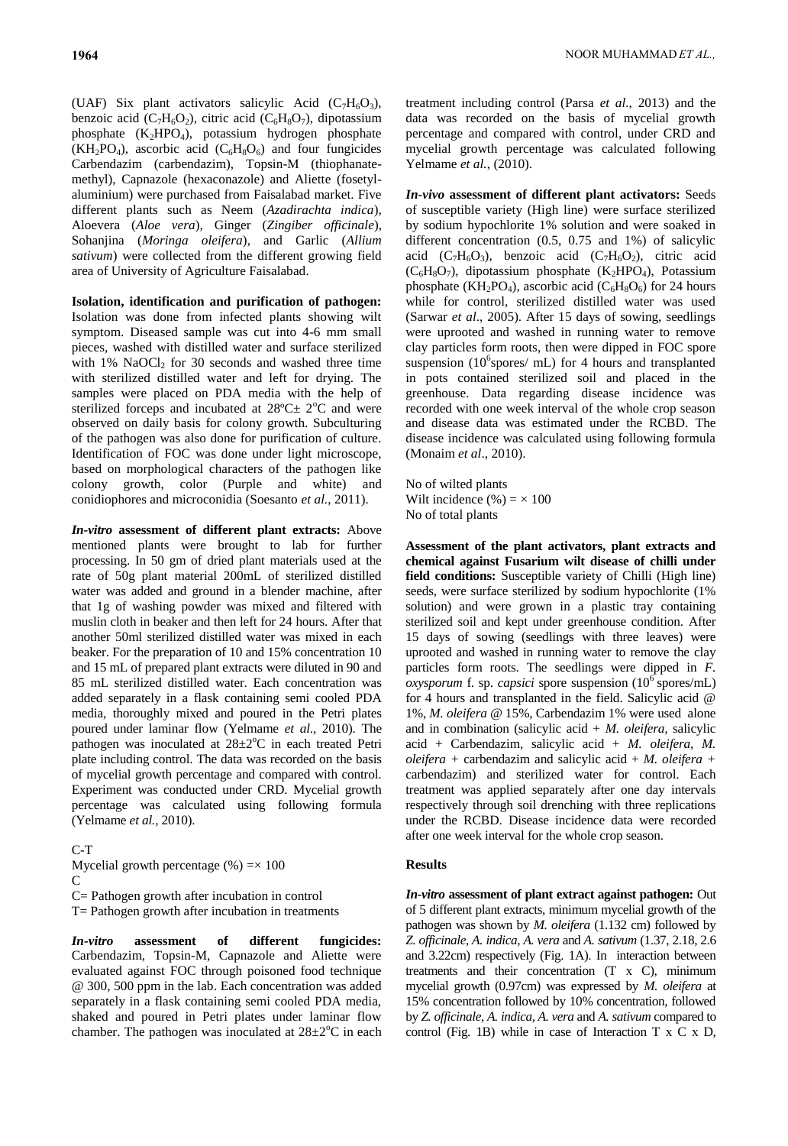(UAF) Six plant activators salicylic Acid  $(C_7H_6O_3)$ , benzoic acid ( $C_7H_6O_2$ ), citric acid ( $C_6H_8O_7$ ), dipotassium phosphate  $(K_2HPO_4)$ , potassium hydrogen phosphate  $(KH_2PO_4)$ , ascorbic acid  $(C_6H_8O_6)$  and four fungicides Carbendazim (carbendazim), Topsin-M (thiophanatemethyl), Capnazole (hexaconazole) and Aliette (fosetylaluminium) were purchased from Faisalabad market. Five different plants such as Neem (*Azadirachta indica*), Aloevera (*Aloe vera*)*,* Ginger (*Zingiber officinale*), Sohanjina (*Moringa oleifera*), and Garlic (*Allium sativum*) were collected from the different growing field area of University of Agriculture Faisalabad.

**Isolation, identification and purification of pathogen:**  Isolation was done from infected plants showing wilt symptom. Diseased sample was cut into 4-6 mm small pieces, washed with distilled water and surface sterilized with  $1\%$  NaOCl<sub>2</sub> for 30 seconds and washed three time with sterilized distilled water and left for drying. The samples were placed on PDA media with the help of sterilized forceps and incubated at  $28^{\circ}$ C $\pm$  2<sup>o</sup>C and were observed on daily basis for colony growth. Subculturing of the pathogen was also done for purification of culture. Identification of FOC was done under light microscope, based on morphological characters of the pathogen like colony growth, color (Purple and white) and conidiophores and microconidia (Soesanto *et al.*, 2011).

*In-vitro* **assessment of different plant extracts:** Above mentioned plants were brought to lab for further processing. In 50 gm of dried plant materials used at the rate of 50g plant material 200mL of sterilized distilled water was added and ground in a blender machine, after that 1g of washing powder was mixed and filtered with muslin cloth in beaker and then left for 24 hours. After that another 50ml sterilized distilled water was mixed in each beaker. For the preparation of 10 and 15% concentration 10 and 15 mL of prepared plant extracts were diluted in 90 and 85 mL sterilized distilled water. Each concentration was added separately in a flask containing semi cooled PDA media, thoroughly mixed and poured in the Petri plates poured under laminar flow (Yelmame *et al*., 2010). The pathogen was inoculated at  $28 \pm 2^{\circ}$ C in each treated Petri plate including control. The data was recorded on the basis of mycelial growth percentage and compared with control. Experiment was conducted under CRD. Mycelial growth percentage was calculated using following formula (Yelmame *et al.,* 2010).

## C-T

Mycelial growth percentage  $(\% ) = \times 100$  $\mathcal{C}$ C= Pathogen growth after incubation in control

 $T =$  Pathogen growth after incubation in treatments

*In-vitro* **assessment of different fungicides:**  Carbendazim, Topsin-M, Capnazole and Aliette were evaluated against FOC through poisoned food technique @ 300, 500 ppm in the lab. Each concentration was added separately in a flask containing semi cooled PDA media, shaked and poured in Petri plates under laminar flow chamber. The pathogen was inoculated at  $28\pm2\degree C$  in each treatment including control (Parsa *et al.*, 2013) and the data was recorded on the basis of mycelial growth percentage and compared with control, under CRD and mycelial growth percentage was calculated following Yelmame *et al.*, (2010).

*In-vivo* **assessment of different plant activators:** Seeds of susceptible variety (High line) were surface sterilized by sodium hypochlorite 1% solution and were soaked in different concentration (0.5, 0.75 and 1%) of salicylic acid  $(C_7H_6O_3)$ , benzoic acid  $(C_7H_6O_2)$ , citric acid  $(C_6H_8O_7)$ , dipotassium phosphate  $(K_2HPO_4)$ , Potassium phosphate (KH<sub>2</sub>PO<sub>4</sub>), ascorbic acid ( $C_6H_8O_6$ ) for 24 hours while for control, sterilized distilled water was used (Sarwar *et al*., 2005). After 15 days of sowing, seedlings were uprooted and washed in running water to remove clay particles form roots, then were dipped in FOC spore suspension (10<sup>6</sup>spores/ mL) for 4 hours and transplanted in pots contained sterilized soil and placed in the greenhouse. Data regarding disease incidence was recorded with one week interval of the whole crop season and disease data was estimated under the RCBD. The disease incidence was calculated using following formula (Monaim *et al*., 2010).

No of wilted plants Wilt incidence  $(\% ) = \times 100$ No of total plants

**Assessment of the plant activators, plant extracts and chemical against Fusarium wilt disease of chilli under field conditions:** Susceptible variety of Chilli (High line) seeds, were surface sterilized by sodium hypochlorite (1% solution) and were grown in a plastic tray containing sterilized soil and kept under greenhouse condition. After 15 days of sowing (seedlings with three leaves) were uprooted and washed in running water to remove the clay particles form roots. The seedlings were dipped in *F. oxysporum* f. sp. *capsici* spore suspension (10<sup>6</sup> spores/mL) for 4 hours and transplanted in the field. Salicylic acid @ 1%, *M. oleifera @* 15%, Carbendazim 1% were used alone and in combination (salicylic acid + *M. oleifera,* salicylic acid + Carbendazim, salicylic acid + *M. oleifera, M. oleifera +* carbendazim and salicylic acid + *M. oleifera +*  carbendazim) and sterilized water for control. Each treatment was applied separately after one day intervals respectively through soil drenching with three replications under the RCBD. Disease incidence data were recorded after one week interval for the whole crop season.

## **Results**

*In-vitro* **assessment of plant extract against pathogen:** Out of 5 different plant extracts, minimum mycelial growth of the pathogen was shown by *M. oleifera* (1.132 cm) followed by *Z. officinale*, *A. indica*, *A. vera* and *A. sativum* (1.37, 2.18, 2.6 and 3.22cm) respectively (Fig. 1A). In interaction between treatments and their concentration (T x C), minimum mycelial growth (0.97cm) was expressed by *M. oleifera* at 15% concentration followed by 10% concentration, followed by *Z. officinale, A. indica, A. vera* and *A. sativum* compared to control (Fig. 1B) while in case of Interaction T x C x D,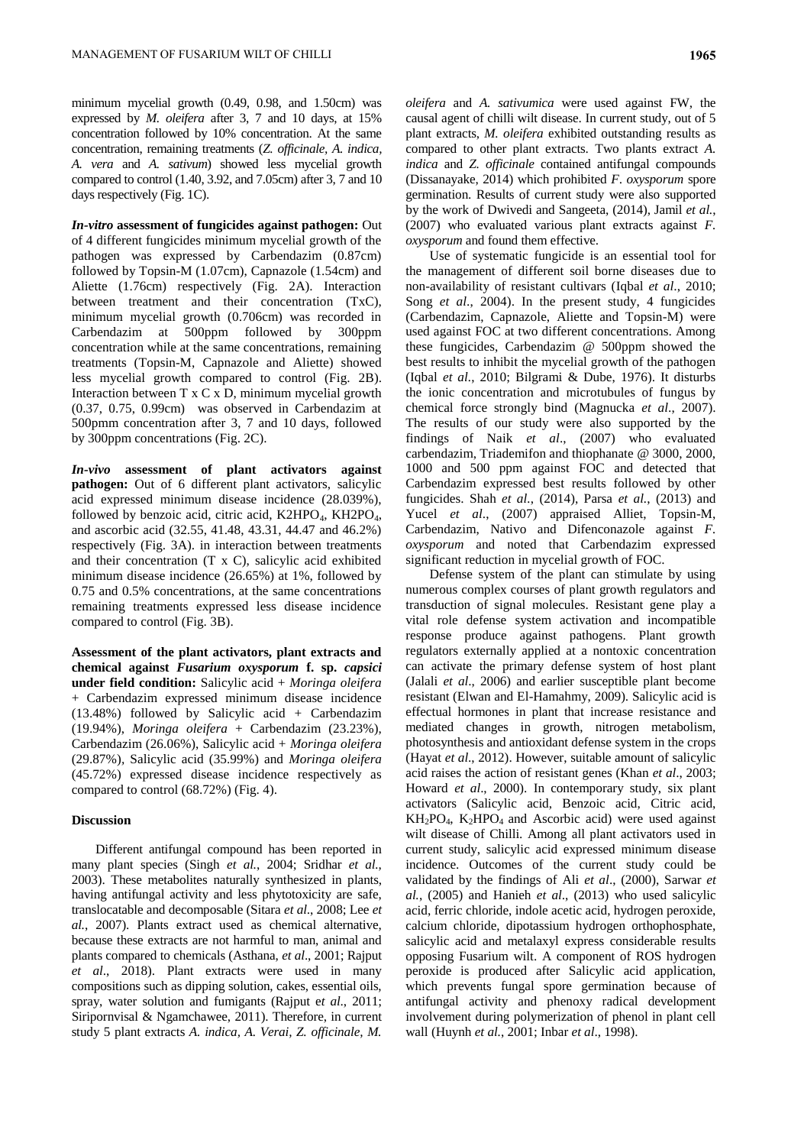minimum mycelial growth (0.49, 0.98, and 1.50cm) was expressed by *M. oleifera* after 3, 7 and 10 days, at 15% concentration followed by 10% concentration. At the same concentration, remaining treatments (*Z. officinale, A. indica, A. vera* and *A. sativum*) showed less mycelial growth compared to control (1.40, 3.92, and 7.05cm) after 3, 7 and 10 days respectively (Fig. 1C).

*In-vitro* **assessment of fungicides against pathogen:** Out of 4 different fungicides minimum mycelial growth of the pathogen was expressed by Carbendazim (0.87cm) followed by Topsin-M (1.07cm), Capnazole (1.54cm) and Aliette (1.76cm) respectively (Fig. 2A). Interaction between treatment and their concentration (TxC), minimum mycelial growth (0.706cm) was recorded in Carbendazim at 500ppm followed by 300ppm concentration while at the same concentrations, remaining treatments (Topsin-M, Capnazole and Aliette) showed less mycelial growth compared to control (Fig. 2B). Interaction between T x C x D, minimum mycelial growth (0.37, 0.75, 0.99cm) was observed in Carbendazim at 500pmm concentration after 3, 7 and 10 days, followed by 300ppm concentrations (Fig. 2C).

*In-vivo* **assessment of plant activators against pathogen:** Out of 6 different plant activators, salicylic acid expressed minimum disease incidence (28.039%), followed by benzoic acid, citric acid,  $K2HPO<sub>4</sub>$ ,  $KH2PO<sub>4</sub>$ , and ascorbic acid (32.55, 41.48, 43.31, 44.47 and 46.2%) respectively (Fig. 3A). in interaction between treatments and their concentration (T x C), salicylic acid exhibited minimum disease incidence (26.65%) at 1%, followed by 0.75 and 0.5% concentrations, at the same concentrations remaining treatments expressed less disease incidence compared to control (Fig. 3B).

**Assessment of the plant activators, plant extracts and chemical against** *Fusarium oxysporum* **f. sp.** *capsici* **under field condition:** Salicylic acid + *Moringa oleifera*  + Carbendazim expressed minimum disease incidence  $(13.48%)$  followed by Salicylic acid + Carbendazim (19.94%), *Moringa oleifera* + Carbendazim (23.23%), Carbendazim (26.06%), Salicylic acid + *Moringa oleifera* (29.87%)*,* Salicylic acid (35.99%) and *Moringa oleifera*  (45.72%) expressed disease incidence respectively as compared to control (68.72%) (Fig. 4).

## **Discussion**

Different antifungal compound has been reported in many plant species (Singh *et al.*, 2004; Sridhar *et al.*, 2003). These metabolites naturally synthesized in plants, having antifungal activity and less phytotoxicity are safe, translocatable and decomposable (Sitara *et al*., 2008; Lee *et al.*, 2007). Plants extract used as chemical alternative, because these extracts are not harmful to man, animal and plants compared to chemicals (Asthana, *et al*., 2001; Rajput *et al*., 2018). Plant extracts were used in many compositions such as dipping solution, cakes, essential oils, spray, water solution and fumigants (Rajput e*t al*., 2011; Siripornvisal & Ngamchawee, 2011). Therefore, in current study 5 plant extracts *A. indica, A. Verai, Z. officinale, M.* 

*oleifera* and *A. sativumica* were used against FW, the causal agent of chilli wilt disease. In current study, out of 5 plant extracts, *M. oleifera* exhibited outstanding results as compared to other plant extracts. Two plants extract *A. indica* and *Z. officinale* contained antifungal compounds (Dissanayake, 2014) which prohibited *F*. *oxysporum* spore germination. Results of current study were also supported by the work of Dwivedi and Sangeeta, (2014), Jamil *et al.*, (2007) who evaluated various plant extracts against *F. oxysporum* and found them effective.

Use of systematic fungicide is an essential tool for the management of different soil borne diseases due to non-availability of resistant cultivars (Iqbal *et al*., 2010; Song *et al*., 2004). In the present study, 4 fungicides (Carbendazim, Capnazole, Aliette and Topsin-M) were used against FOC at two different concentrations. Among these fungicides, Carbendazim @ 500ppm showed the best results to inhibit the mycelial growth of the pathogen (Iqbal *et al.*, 2010; Bilgrami & Dube, 1976). It disturbs the ionic concentration and microtubules of fungus by chemical force strongly bind (Magnucka *et al*., 2007). The results of our study were also supported by the findings of Naik *et al*., (2007) who evaluated carbendazim, Triademifon and thiophanate @ 3000, 2000, 1000 and 500 ppm against FOC and detected that Carbendazim expressed best results followed by other fungicides. Shah *et al.*, (2014), Parsa *et al.*, (2013) and Yucel *et al*., (2007) appraised Alliet, Topsin-M, Carbendazim, Nativo and Difenconazole against *F. oxysporum* and noted that Carbendazim expressed significant reduction in mycelial growth of FOC.

Defense system of the plant can stimulate by using numerous complex courses of plant growth regulators and transduction of signal molecules. Resistant gene play a vital role defense system activation and incompatible response produce against pathogens. Plant growth regulators externally applied at a nontoxic concentration can activate the primary defense system of host plant (Jalali *et al*., 2006) and earlier susceptible plant become resistant (Elwan and El-Hamahmy, 2009). Salicylic acid is effectual hormones in plant that increase resistance and mediated changes in growth, nitrogen metabolism, photosynthesis and antioxidant defense system in the crops (Hayat *et al*., 2012). However, suitable amount of salicylic acid raises the action of resistant genes (Khan *et al*., 2003; Howard *et al*., 2000). In contemporary study, six plant activators (Salicylic acid, Benzoic acid, Citric acid,  $KH_2PO_4$ ,  $K_2HPO_4$  and Ascorbic acid) were used against wilt disease of Chilli. Among all plant activators used in current study, salicylic acid expressed minimum disease incidence. Outcomes of the current study could be validated by the findings of Ali *et al*., (2000), Sarwar *et al.*, (2005) and Hanieh *et al*., (2013) who used salicylic acid, ferric chloride, indole acetic acid, hydrogen peroxide, calcium chloride, dipotassium hydrogen orthophosphate, salicylic acid and metalaxyl express considerable results opposing Fusarium wilt. A component of ROS hydrogen peroxide is produced after Salicylic acid application, which prevents fungal spore germination because of antifungal activity and phenoxy radical development involvement during polymerization of phenol in plant cell wall (Huynh *et al.*, 2001; Inbar *et al*., 1998).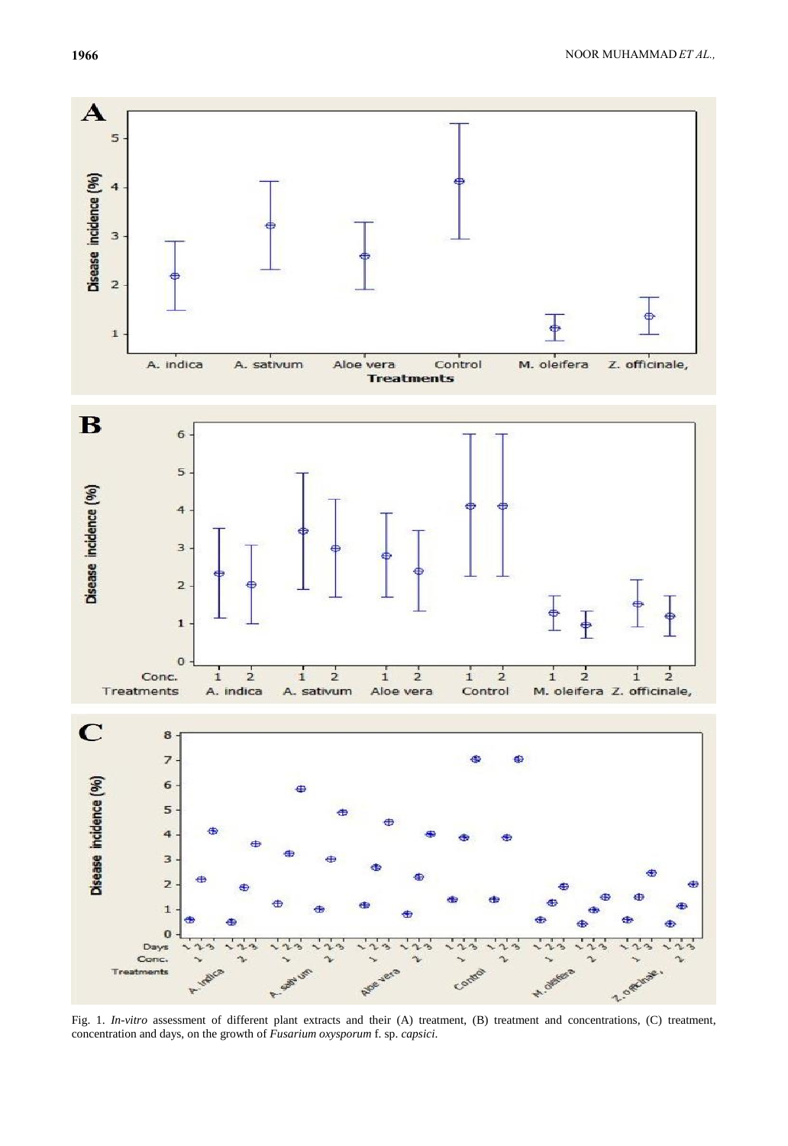

Fig. 1. *In-vitro* assessment of different plant extracts and their (A) treatment, (B) treatment and concentrations, (C) treatment, concentration and days, on the growth of *Fusarium oxysporum* f. sp. *capsici*.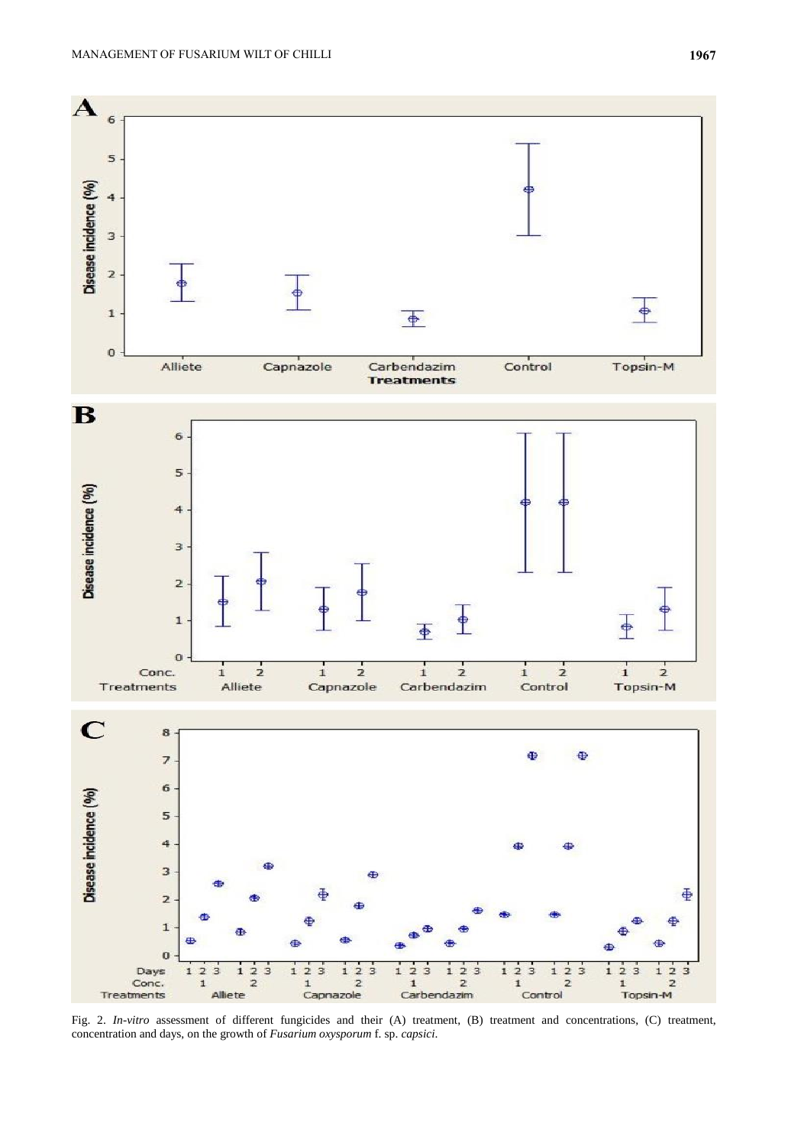

Fig. 2. *In-vitro* assessment of different fungicides and their (A) treatment, (B) treatment and concentrations, (C) treatment, concentration and days, on the growth of *Fusarium oxysporum* f. sp. *capsici*.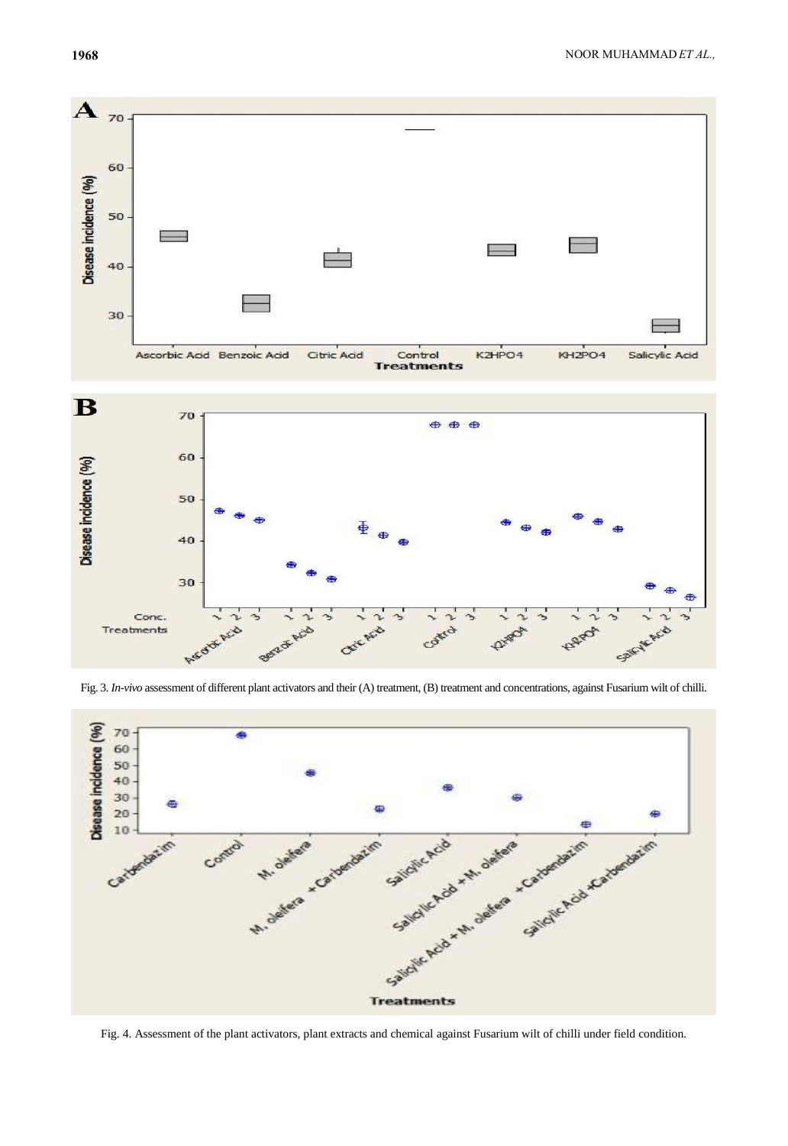Salty K. Acid

**ARIO** 





Certain

r.  $\dot{\phantom{1}}$ 

**Quint** 

 $\overline{\phantom{0}}$ 

Control



Fig. 4. Assessment of the plant activators, plant extracts and chemical against Fusarium wilt of chilli under field condition.

40

30

~

S

**Redi Acid** 

ι

Acio

South

Conc.

Treatments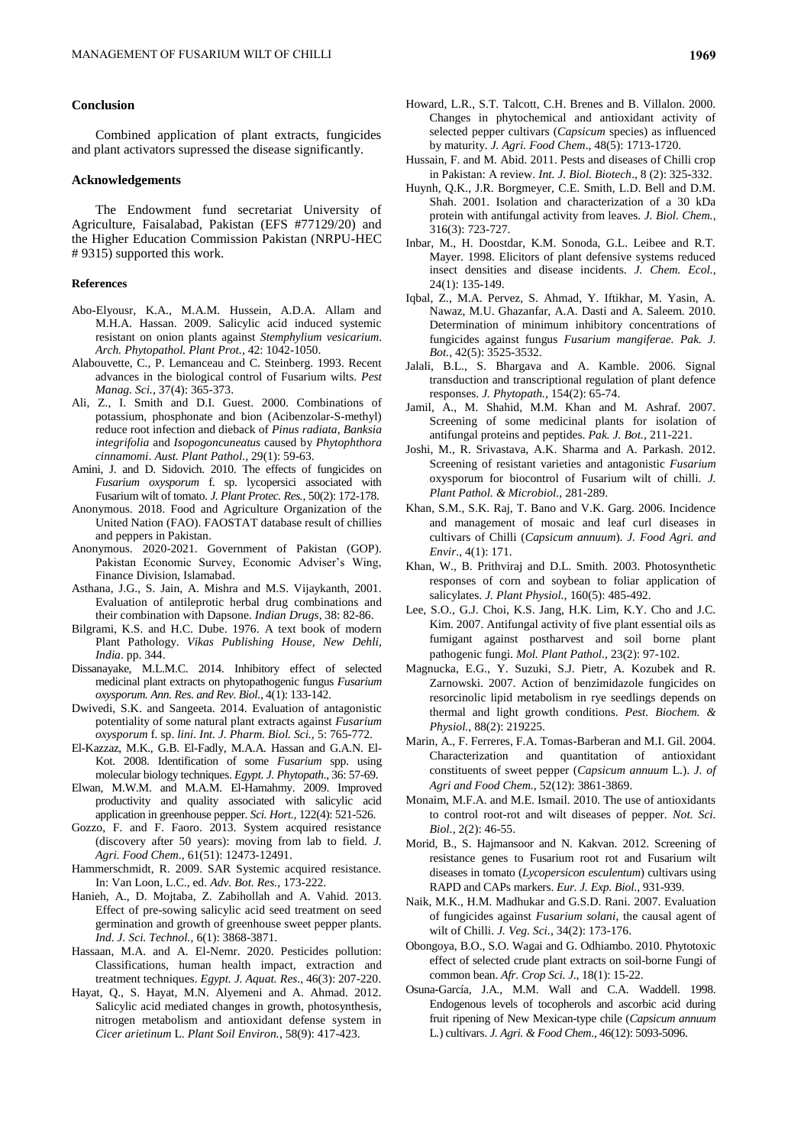### **Conclusion**

Combined application of plant extracts, fungicides and plant activators supressed the disease significantly.

#### **Acknowledgements**

The Endowment fund secretariat University of Agriculture, Faisalabad, Pakistan (EFS #77129/20) and the Higher Education Commission Pakistan (NRPU-HEC # 9315) supported this work.

#### **References**

- Abo-Elyousr, K.A., M.A.M. Hussein, A.D.A. Allam and M.H.A. Hassan. 2009. Salicylic acid induced systemic resistant on onion plants against *Stemphylium vesicarium*. *Arch. Phytopathol. Plant Prot.,* 42: 1042-1050.
- Alabouvette, C., P. Lemanceau and C. Steinberg. 1993. Recent advances in the biological control of Fusarium wilts. *Pest Manag. Sci.,* 37(4): 365-373.
- Ali, Z., I. Smith and D.I. Guest. 2000. Combinations of potassium, phosphonate and bion (Acibenzolar-S-methyl) reduce root infection and dieback of *Pinus radiata, Banksia integrifolia* and *Isopogoncuneatus* caused by *Phytophthora cinnamomi*. *Aust. Plant Pathol.,* 29(1): 59*-*63.
- Amini, J. and D. Sidovich. 2010. The effects of fungicides on *Fusarium oxysporum* f. sp. lycopersici associated with Fusarium wilt of tomato. *J. Plant Protec. Res.,* 50(2): 172-178.
- Anonymous. 2018. Food and Agriculture Organization of the United Nation (FAO). FAOSTAT database result of chillies and peppers in Pakistan.
- Anonymous. 2020-2021. Government of Pakistan (GOP). Pakistan Economic Survey, Economic Adviser's Wing, Finance Division, Islamabad.
- Asthana, J.G., S. Jain, A. Mishra and M.S. Vijaykanth, 2001. Evaluation of antileprotic herbal drug combinations and their combination with Dapsone. *Indian Drugs*, 38: 82-86.
- Bilgrami, K.S. and H.C. Dube. 1976. A text book of modern Plant Pathology. *Vikas Publishing House, New Dehli, India*. pp. 344.
- Dissanayake, M.L.M.C. 2014. Inhibitory effect of selected medicinal plant extracts on phytopathogenic fungus *Fusarium oxysporum. Ann. Res. and Rev. Biol.,* 4(1): 133-142.
- Dwivedi, S.K. and Sangeeta. 2014. Evaluation of antagonistic potentiality of some natural plant extracts against *Fusarium oxysporum* f. sp. *lini*. *Int. J. Pharm. Biol. Sci.,* 5: 765-772.
- El-Kazzaz, M.K., G.B. El-Fadly, M.A.A. Hassan and G.A.N. El-Kot. 2008. Identification of some *Fusarium* spp. using molecular biology techniques. *Egypt. J. Phytopath*., 36: 57-69.
- Elwan, M.W.M. and M.A.M. El-Hamahmy. 2009. Improved productivity and quality associated with salicylic acid application in greenhouse pepper. *Sci. Hort.,* 122(4): 521-526.
- Gozzo, F. and F. Faoro. 2013. System acquired resistance (discovery after 50 years): moving from lab to field. *J. Agri. Food Chem*., 61(51): 12473-12491.
- Hammerschmidt, R. 2009. SAR Systemic acquired resistance. In: Van Loon, L.C., ed. *Adv. Bot. Res.,* 173-222.
- Hanieh, A., D. Mojtaba, Z. Zabihollah and A. Vahid. 2013. Effect of pre-sowing salicylic acid seed treatment on seed germination and growth of greenhouse sweet pepper plants. *Ind. J. Sci. Technol.,* 6(1): 3868-3871.
- Hassaan, M.A. and A. El-Nemr. 2020. Pesticides pollution: Classifications, human health impact, extraction and treatment techniques. *Egypt. J. Aquat. Res*., 46(3): 207-220.
- Hayat, Q., S. Hayat, M.N. Alyemeni and A. Ahmad. 2012. Salicylic acid mediated changes in growth, photosynthesis, nitrogen metabolism and antioxidant defense system in *Cicer arietinum* L. *Plant Soil Environ.*, 58(9): 417-423.
- Howard, L.R., S.T. Talcott, C.H. Brenes and B. Villalon. 2000. Changes in phytochemical and antioxidant activity of selected pepper cultivars (*Capsicum* species) as influenced by maturity. *J. Agri. Food Chem*., 48(5): 1713-1720.
- Hussain, F. and M. Abid. 2011. Pests and diseases of Chilli crop in Pakistan: A review. *Int. J. Biol. Biotech*., 8 (2): 325-332.
- Huynh, Q.K., J.R. Borgmeyer, C.E. Smith, L.D. Bell and D.M. Shah. 2001. Isolation and characterization of a 30 kDa protein with antifungal activity from leaves. *J. Biol. Chem.,* 316(3): 723-727.
- Inbar, M., H. Doostdar, K.M. Sonoda, G.L. Leibee and R.T. Mayer. 1998. Elicitors of plant defensive systems reduced insect densities and disease incidents. *J. Chem. Ecol.,* 24(1): 135-149.
- Iqbal, Z., M.A. Pervez, S. Ahmad, Y. Iftikhar, M. Yasin, A. Nawaz, M.U. Ghazanfar, A.A. Dasti and A. Saleem. 2010. Determination of minimum inhibitory concentrations of fungicides against fungus *Fusarium mangiferae. Pak. J. Bot.*, 42(5): 3525-3532.
- Jalali, B.L., S. Bhargava and A. Kamble. 2006. Signal transduction and transcriptional regulation of plant defence responses. *J. Phytopath.,* 154(2): 65-74.
- Jamil, A., M. Shahid, M.M. Khan and M. Ashraf. 2007. Screening of some medicinal plants for isolation of antifungal proteins and peptides. *Pak. J. Bot.,* 211-221.
- Joshi, M., R. Srivastava, A.K. Sharma and A. Parkash. 2012. Screening of resistant varieties and antagonistic *Fusarium*  oxysporum for biocontrol of Fusarium wilt of chilli. *J. Plant Pathol. & Microbiol.,* 281-289.
- Khan, S.M., S.K. Raj, T. Bano and V.K. Garg. 2006. Incidence and management of mosaic and leaf curl diseases in cultivars of Chilli (*Capsicum annuum*). *J. Food Agri. and Envir*., 4(1): 171.
- Khan, W., B. Prithviraj and D.L. Smith. 2003. Photosynthetic responses of corn and soybean to foliar application of salicylates. *J. Plant Physiol.,* 160(5): 485-492.
- Lee, S.O., G.J. Choi, K.S. Jang, H.K. Lim, K.Y. Cho and J.C. Kim. 2007. Antifungal activity of five plant essential oils as fumigant against postharvest and soil borne plant pathogenic fungi. *Mol. Plant Pathol.,* 23(2): 97-102.
- Magnucka, E.G., Y. Suzuki, S.J. Pietr, A. Kozubek and R. Zarnowski. 2007. Action of benzimidazole fungicides on resorcinolic lipid metabolism in rye seedlings depends on thermal and light growth conditions. *Pest. Biochem. & Physiol.,* 88(2): 219225.
- Marin, A., F. Ferreres, F.A. Tomas-Barberan and M.I. Gil. 2004. Characterization and quantitation of antioxidant constituents of sweet pepper (*Capsicum annuum* L.). *J. of Agri and Food Chem.,* 52(12): 3861-3869.
- Monaim, M.F.A. and M.E. Ismail. 2010. The use of antioxidants to control root-rot and wilt diseases of pepper. *Not. Sci. Biol.,* 2(2): 46-55.
- Morid, B., S. Hajmansoor and N. Kakvan. 2012. Screening of resistance genes to Fusarium root rot and Fusarium wilt diseases in tomato (*Lycopersicon esculentum*) cultivars using RAPD and CAPs markers. *Eur. J. Exp. Biol.,* 931-939.
- Naik, M.K., H.M. Madhukar and G.S.D. Rani. 2007. Evaluation of fungicides against *Fusarium solani*, the causal agent of wilt of Chilli. *J. Veg. Sci.,* 34(2): 173-176.
- Obongoya, B.O., S.O. Wagai and G. Odhiambo. 2010. Phytotoxic effect of selected crude plant extracts on soil-borne Fungi of common bean. *Afr. Crop Sci. J*., 18(1): 15-22.
- Osuna-García, J.A., M.M. Wall and C.A. Waddell. 1998. Endogenous levels of tocopherols and ascorbic acid during fruit ripening of New Mexican-type chile (*Capsicum annuum*  L*.*) cultivars. *J. Agri. & Food Chem.,* 46(12): 5093-5096.